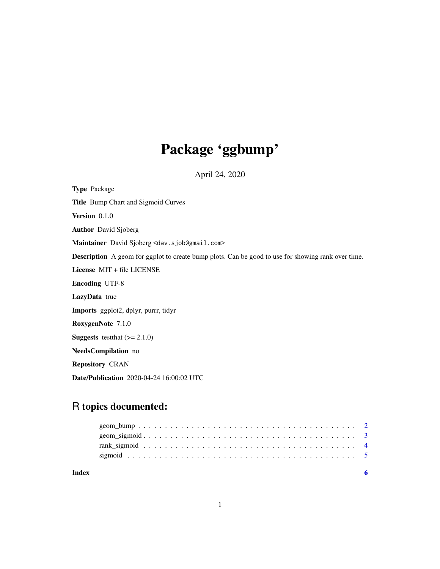## Package 'ggbump'

April 24, 2020

Type Package Title Bump Chart and Sigmoid Curves Version 0.1.0 Author David Sjoberg Maintainer David Sjoberg <dav.sjob@gmail.com> Description A geom for ggplot to create bump plots. Can be good to use for showing rank over time. License MIT + file LICENSE Encoding UTF-8 LazyData true Imports ggplot2, dplyr, purrr, tidyr RoxygenNote 7.1.0 **Suggests** test that  $(>= 2.1.0)$ NeedsCompilation no Repository CRAN Date/Publication 2020-04-24 16:00:02 UTC

## R topics documented:

| Index |  |
|-------|--|
|       |  |
|       |  |
|       |  |
|       |  |
|       |  |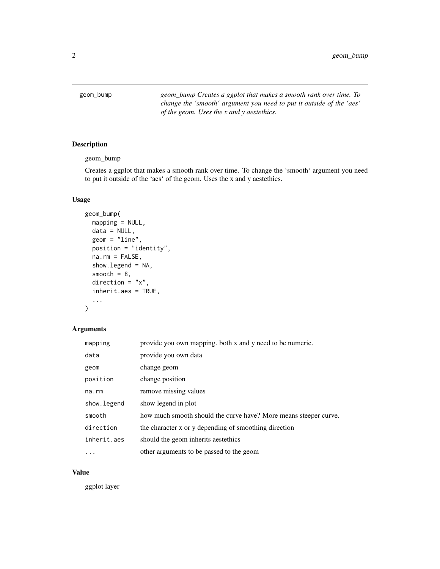<span id="page-1-0"></span>geom\_bump *geom\_bump Creates a ggplot that makes a smooth rank over time. To change the 'smooth' argument you need to put it outside of the 'aes' of the geom. Uses the x and y aestethics.*

#### Description

geom\_bump

Creates a ggplot that makes a smooth rank over time. To change the 'smooth' argument you need to put it outside of the 'aes' of the geom. Uses the x and y aestethics.

#### Usage

```
geom_bump(
 mapping = NULL,
 data = NULL,
  geom = "line",
 position = "identity",
 na.rm = FALSE,
  show.legend = NA,
  smooth = 8,
  direction = "x",inherit.aes = TRUE,
  ...
)
```
#### Arguments

| mapping     | provide you own mapping. both x and y need to be numeric.        |
|-------------|------------------------------------------------------------------|
| data        | provide you own data                                             |
| geom        | change geom                                                      |
| position    | change position                                                  |
| $na$ . $rm$ | remove missing values                                            |
| show.legend | show legend in plot                                              |
| smooth      | how much smooth should the curve have? More means steeper curve. |
| direction   | the character x or y depending of smoothing direction            |
| inherit.aes | should the geom inherits aestethics                              |
| .           | other arguments to be passed to the geom                         |

#### Value

ggplot layer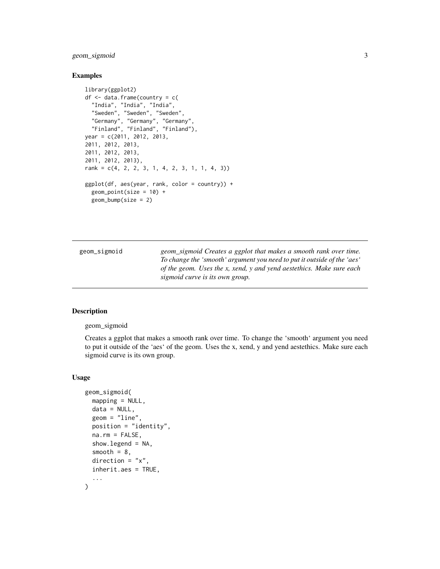#### <span id="page-2-0"></span>geom\_sigmoid 3

#### Examples

```
library(ggplot2)
df <- data.frame(country = c(
  "India", "India", "India",
  "Sweden", "Sweden", "Sweden",
  "Germany", "Germany", "Germany",
  "Finland", "Finland", "Finland"),
year = c(2011, 2012, 2013,
2011, 2012, 2013,
2011, 2012, 2013,
2011, 2012, 2013),
rank = c(4, 2, 2, 3, 1, 4, 2, 3, 1, 1, 4, 3))
ggplot(df, aes(year, rank, color = country)) +
  geom_point(size = 10) +
  geom_bump(size = 2)
```

| geom_sigmoid | geom_sigmoid Creates a ggplot that makes a smooth rank over time.       |
|--------------|-------------------------------------------------------------------------|
|              | To change the 'smooth' argument you need to put it outside of the 'aes' |
|              | of the geom. Uses the x, xend, y and yend aestethics. Make sure each    |
|              | sigmoid curve is its own group.                                         |

#### Description

#### geom\_sigmoid

Creates a ggplot that makes a smooth rank over time. To change the 'smooth' argument you need to put it outside of the 'aes' of the geom. Uses the x, xend, y and yend aestethics. Make sure each sigmoid curve is its own group.

#### Usage

```
geom_sigmoid(
 mapping = NULL,
  data = NULL,geom = "line",
  position = "identity",
  na.rm = FALSE,
  show.legend = NA,
  smooth = 8,
  direction = "x",
  inherit.aes = TRUE,
  ...
\mathcal{L}
```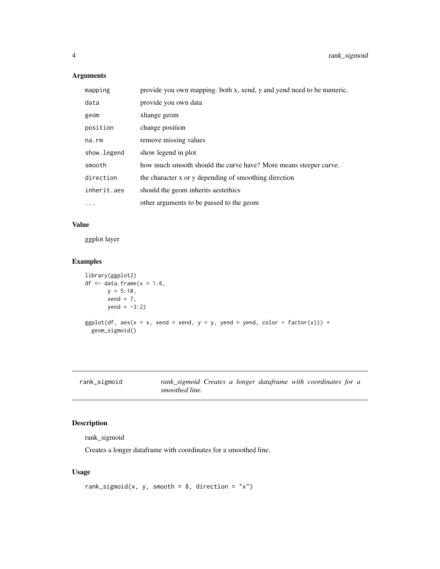#### Arguments

| mapping      | provide you own mapping. both x, xend, y and yend need to be numeric. |
|--------------|-----------------------------------------------------------------------|
| data         | provide you own data                                                  |
| geom         | xhange geom                                                           |
| position     | change position                                                       |
| na.rm        | remove missing values                                                 |
| show. legend | show legend in plot                                                   |
| smooth       | how much smooth should the curve have? More means steeper curve.      |
| direction    | the character x or y depending of smoothing direction                 |
| inherit.aes  | should the geom inherits aestethics                                   |
| $\ddots$ .   | other arguments to be passed to the geom                              |

#### Value

ggplot layer

#### Examples

```
library(ggplot2)
df \leq data.frame(x = 1:6,
      y = 5:10,
       xend = 7,
       yend = -3:2)ggplot(df, aes(x = x, xend = xend, y = y, yend = yend, color = factor(x))) +geom_sigmoid()
```

| rank_sıgmoıd |  |  |
|--------------|--|--|
|              |  |  |

rank\_sigmoid *rank\_sigmoid Creates a longer dataframe with coordinates for a smoothed line.*

#### Description

rank\_sigmoid

Creates a longer dataframe with coordinates for a smoothed line.

#### Usage

```
rank_sigmoid(x, y, smooth = 8, direction = "x")
```
<span id="page-3-0"></span>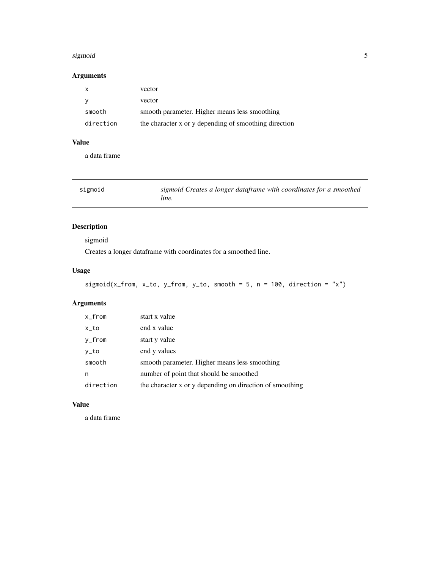#### <span id="page-4-0"></span>sigmoid **5**

## Arguments

| x         | vector                                                |
|-----------|-------------------------------------------------------|
|           | vector                                                |
| smooth    | smooth parameter. Higher means less smoothing         |
| direction | the character x or y depending of smoothing direction |

#### Value

a data frame

| sigmoid | sigmoid Creates a longer dataframe with coordinates for a smoothed |
|---------|--------------------------------------------------------------------|
|         | line.                                                              |

## Description

sigmoid

Creates a longer dataframe with coordinates for a smoothed line.

#### Usage

```
sigmoid(x_from, x_to, y_from, y_to, smooth = 5, n = 100, direction = "x")
```
## Arguments

| $x_f$ from | start x value                                            |
|------------|----------------------------------------------------------|
| $x_t$      | end x value                                              |
| y_from     | start y value                                            |
| y_to       | end y values                                             |
| smooth     | smooth parameter. Higher means less smoothing            |
| n          | number of point that should be smoothed                  |
| direction  | the character x or y depending on direction of smoothing |

#### Value

a data frame